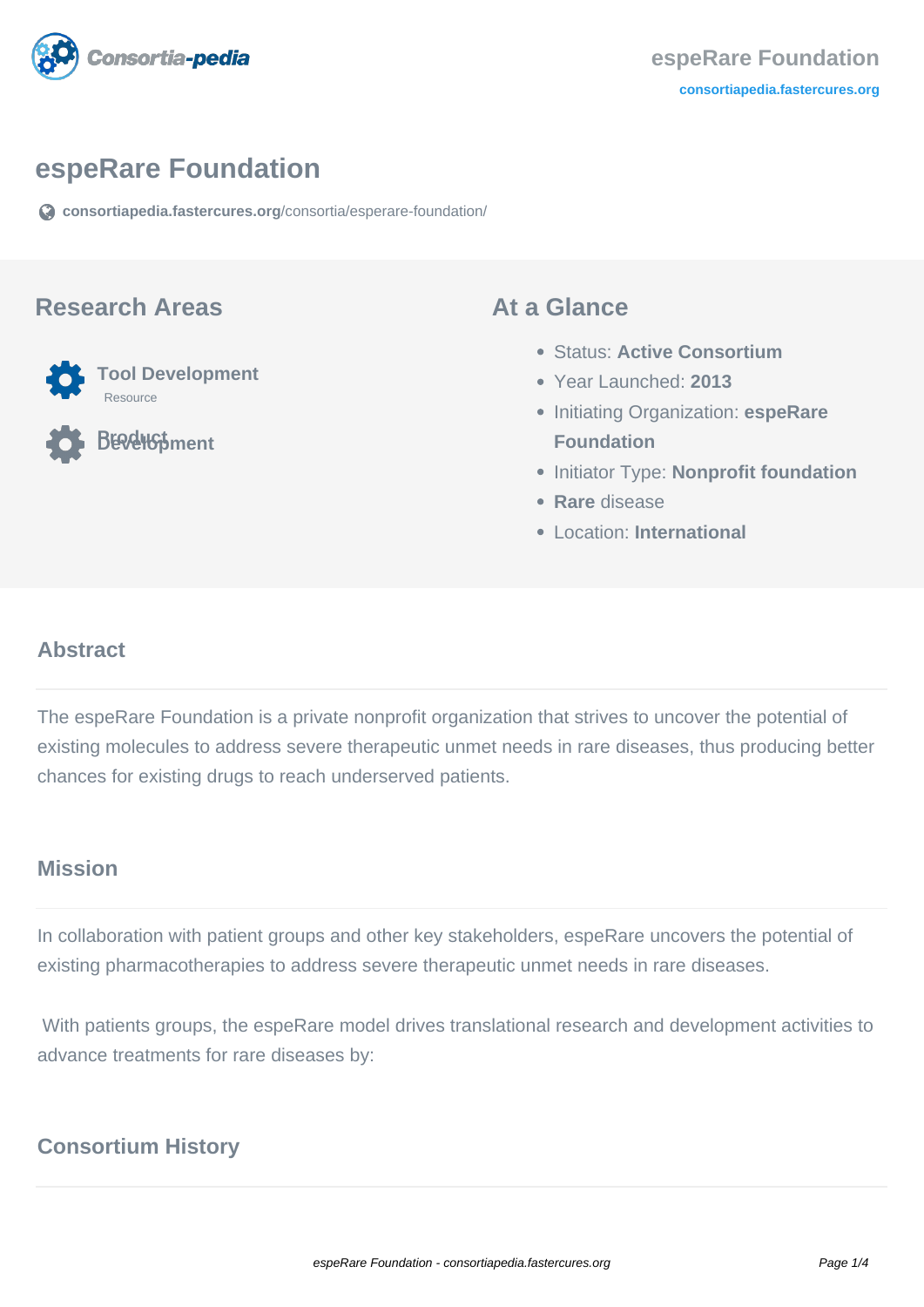

## **espeRare Foundation**

**[consortiapedia.fastercures.org](https://consortiapedia.fastercures.org/consortia/esperare-foundation/)**[/consortia/esperare-foundation/](https://consortiapedia.fastercures.org/consortia/esperare-foundation/)

#### **Research Areas**



**BERGHStment** 

#### **At a Glance**

- Status: **Active Consortium**
- Year Launched: **2013**
- **Initiating Organization: espeRare Foundation**
- **Initiator Type: Nonprofit foundation**
- **Rare** disease
- Location: **International**

### **Abstract**

The espeRare Foundation is a private nonprofit organization that strives to uncover the potential of existing molecules to address severe therapeutic unmet needs in rare diseases, thus producing better chances for existing drugs to reach underserved patients.

### **Mission**

In collaboration with patient groups and other key stakeholders, espeRare uncovers the potential of existing pharmacotherapies to address severe therapeutic unmet needs in rare diseases.

 With patients groups, the espeRare model drives translational research and development activities to advance treatments for rare diseases by:

## **Consortium History**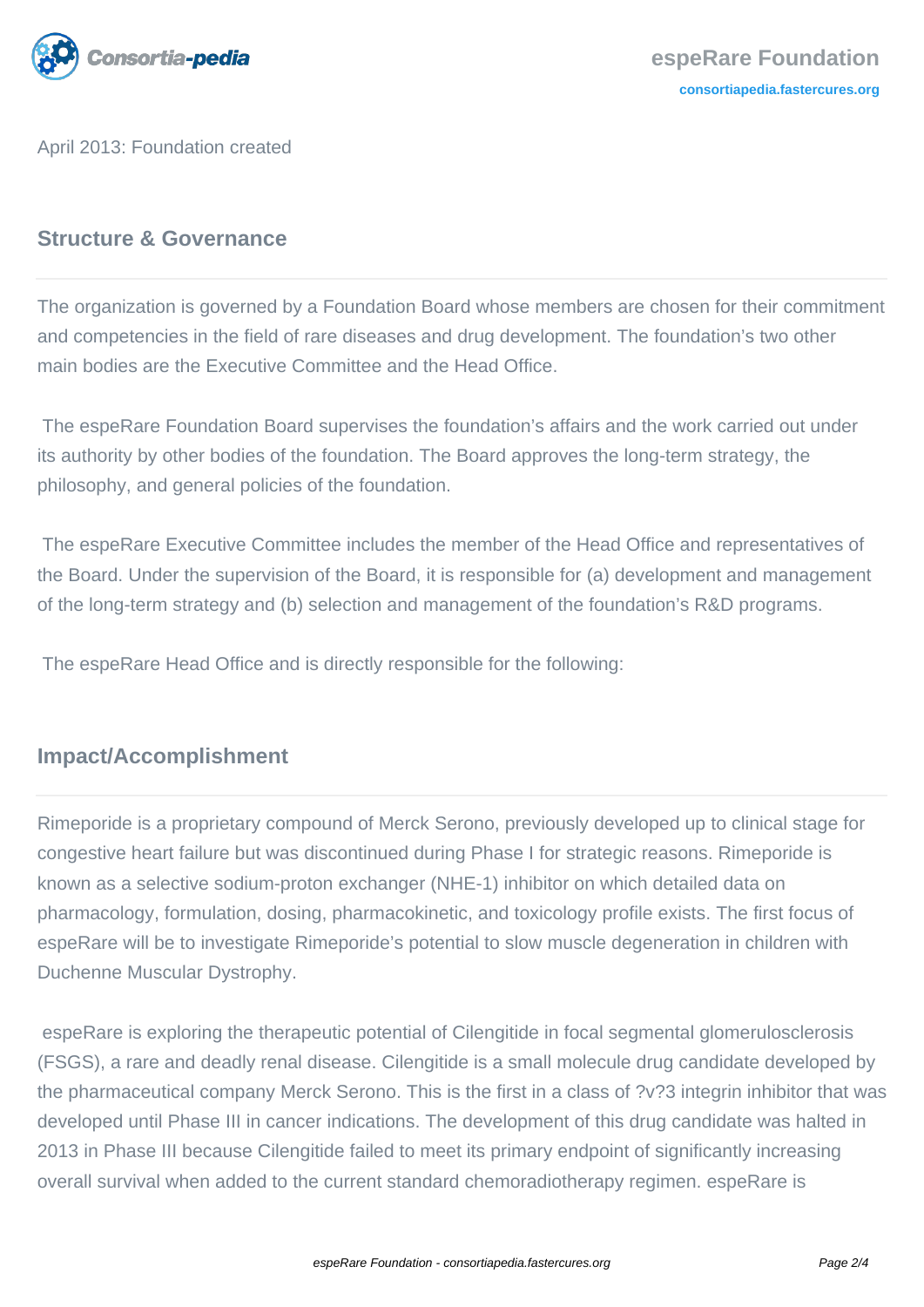

April 2013: Foundation created

## **Structure & Governance**

The organization is governed by a Foundation Board whose members are chosen for their commitment and competencies in the field of rare diseases and drug development. The foundation's two other main bodies are the Executive Committee and the Head Office.

 The espeRare Foundation Board supervises the foundation's affairs and the work carried out under its authority by other bodies of the foundation. The Board approves the long-term strategy, the philosophy, and general policies of the foundation.

 The espeRare Executive Committee includes the member of the Head Office and representatives of the Board. Under the supervision of the Board, it is responsible for (a) development and management of the long-term strategy and (b) selection and management of the foundation's R&D programs.

The espeRare Head Office and is directly responsible for the following:

## **Impact/Accomplishment**

Rimeporide is a proprietary compound of Merck Serono, previously developed up to clinical stage for congestive heart failure but was discontinued during Phase I for strategic reasons. Rimeporide is known as a selective sodium-proton exchanger (NHE-1) inhibitor on which detailed data on pharmacology, formulation, dosing, pharmacokinetic, and toxicology profile exists. The first focus of espeRare will be to investigate Rimeporide's potential to slow muscle degeneration in children with Duchenne Muscular Dystrophy.

 espeRare is exploring the therapeutic potential of Cilengitide in focal segmental glomerulosclerosis (FSGS), a rare and deadly renal disease. Cilengitide is a small molecule drug candidate developed by the pharmaceutical company Merck Serono. This is the first in a class of ?v?3 integrin inhibitor that was developed until Phase III in cancer indications. The development of this drug candidate was halted in 2013 in Phase III because Cilengitide failed to meet its primary endpoint of significantly increasing overall survival when added to the current standard chemoradiotherapy regimen. espeRare is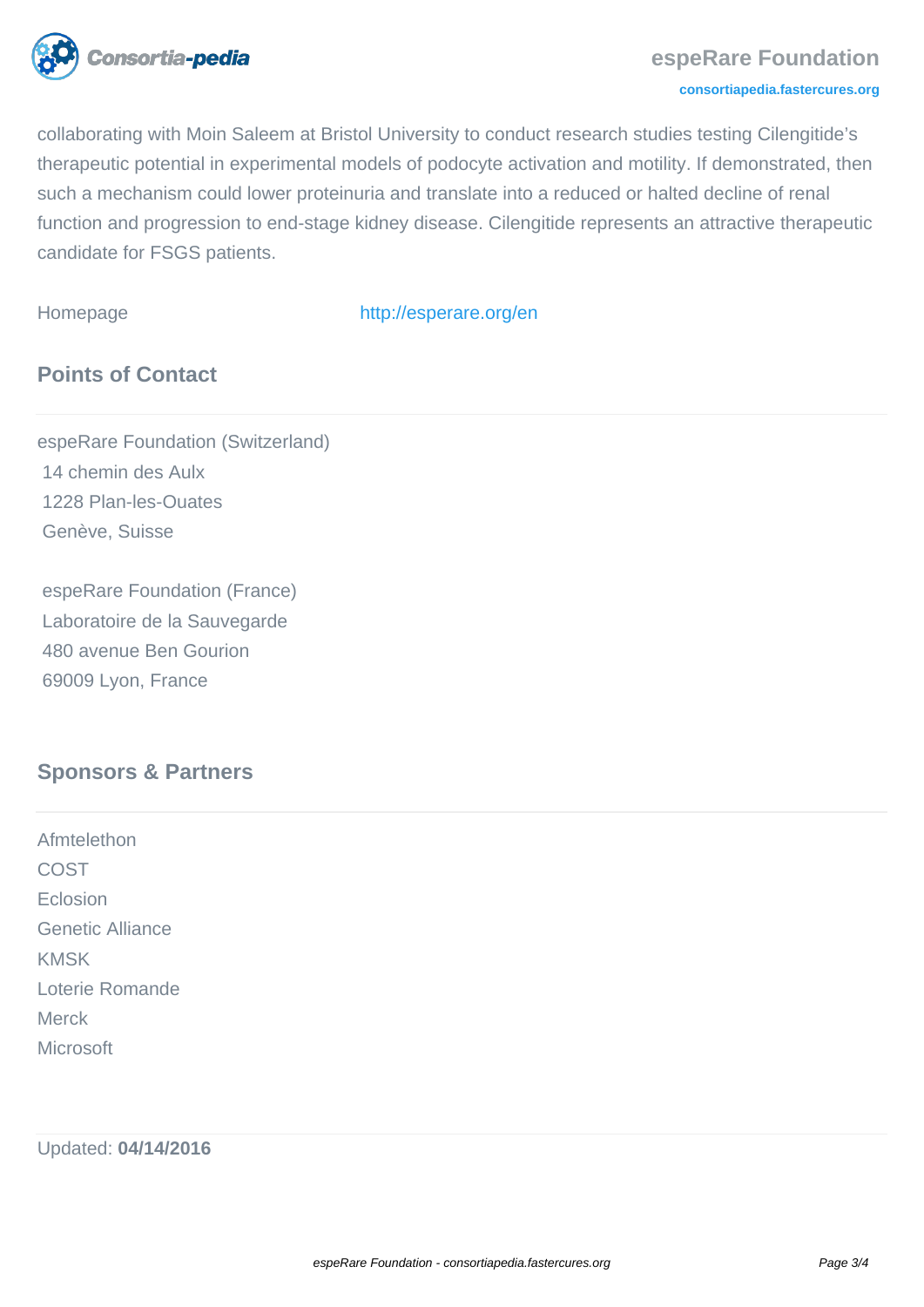

collaborating with Moin Saleem at Bristol University to conduct research studies testing Cilengitide's therapeutic potential in experimental models of podocyte activation and motility. If demonstrated, then such a mechanism could lower proteinuria and translate into a reduced or halted decline of renal function and progression to end-stage kidney disease. Cilengitide represents an attractive therapeutic candidate for FSGS patients.

Homepage <http://esperare.org/en>

# **Points of Contact**

espeRare Foundation (Switzerland) 14 chemin des Aulx 1228 Plan-les-Ouates Genève, Suisse

 espeRare Foundation (France) Laboratoire de la Sauvegarde 480 avenue Ben Gourion 69009 Lyon, France

## **Sponsors & Partners**

Afmtelethon COST Eclosion Genetic Alliance KMSK Loterie Romande Merck **Microsoft** 

Updated: **04/14/2016**